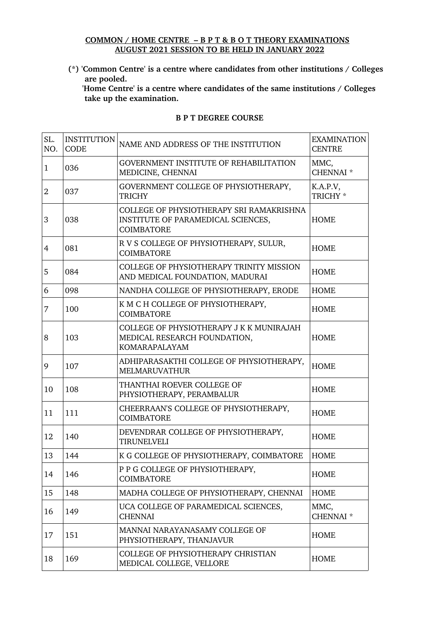## **COMMON / HOME CENTRE – B P T & B O T THEORY EXAMINATIONS AUGUST 2021 SESSION TO BE HELD IN JANUARY 2022**

**(\*) 'Common Centre' is a centre where candidates from other institutions / Colleges are pooled.**

'Home Centre' is a centre where candidates of the same institutions / Colleges  **take up the examination.**

| SL.<br>NO.     | <b>INSTITUTION</b><br><b>CODE</b> | NAME AND ADDRESS OF THE INSTITUTION                                                                 | <b>EXAMINATION</b><br><b>CENTRE</b> |
|----------------|-----------------------------------|-----------------------------------------------------------------------------------------------------|-------------------------------------|
| $\mathbf{1}$   | 036                               | GOVERNMENT INSTITUTE OF REHABILITATION<br>MEDICINE, CHENNAI                                         | MMC,<br>CHENNAI <sup>*</sup>        |
| $\overline{2}$ | 037                               | GOVERNMENT COLLEGE OF PHYSIOTHERAPY,<br><b>TRICHY</b>                                               | K.A.P.V,<br>TRICHY *                |
| 3              | 038                               | COLLEGE OF PHYSIOTHERAPY SRI RAMAKRISHNA<br>INSTITUTE OF PARAMEDICAL SCIENCES,<br><b>COIMBATORE</b> | <b>HOME</b>                         |
| $\overline{4}$ | 081                               | R V S COLLEGE OF PHYSIOTHERAPY, SULUR,<br><b>COIMBATORE</b>                                         | <b>HOME</b>                         |
| 5              | 084                               | COLLEGE OF PHYSIOTHERAPY TRINITY MISSION<br>AND MEDICAL FOUNDATION, MADURAI                         | <b>HOME</b>                         |
| 6              | 098                               | NANDHA COLLEGE OF PHYSIOTHERAPY, ERODE                                                              | <b>HOME</b>                         |
| 7              | 100                               | K M C H COLLEGE OF PHYSIOTHERAPY,<br><b>COIMBATORE</b>                                              | <b>HOME</b>                         |
| 8              | 103                               | COLLEGE OF PHYSIOTHERAPY J K K MUNIRAJAH<br>MEDICAL RESEARCH FOUNDATION,<br><b>KOMARAPALAYAM</b>    | <b>HOME</b>                         |
| 9              | 107                               | ADHIPARASAKTHI COLLEGE OF PHYSIOTHERAPY,<br><b>MELMARUVATHUR</b>                                    | <b>HOME</b>                         |
| 10             | 108                               | THANTHAI ROEVER COLLEGE OF<br>PHYSIOTHERAPY, PERAMBALUR                                             | <b>HOME</b>                         |
| 11             | 111                               | CHEERRAAN'S COLLEGE OF PHYSIOTHERAPY,<br><b>COIMBATORE</b>                                          | <b>HOME</b>                         |
| 12             | 140                               | DEVENDRAR COLLEGE OF PHYSIOTHERAPY,<br><b>TIRUNELVELI</b>                                           | <b>HOME</b>                         |
| 13             | 144                               | K G COLLEGE OF PHYSIOTHERAPY, COIMBATORE                                                            | <b>HOME</b>                         |
| 14             | 146                               | P P G COLLEGE OF PHYSIOTHERAPY,<br><b>COIMBATORE</b>                                                | <b>HOME</b>                         |
| 15             | 148                               | MADHA COLLEGE OF PHYSIOTHERAPY, CHENNAI                                                             | <b>HOME</b>                         |
| 16             | 149                               | UCA COLLEGE OF PARAMEDICAL SCIENCES,<br><b>CHENNAI</b>                                              | MMC,<br>CHENNAI <sup>*</sup>        |
| 17             | 151                               | MANNAI NARAYANASAMY COLLEGE OF<br>PHYSIOTHERAPY, THANJAVUR                                          | <b>HOME</b>                         |
| 18             | 169                               | COLLEGE OF PHYSIOTHERAPY CHRISTIAN<br>MEDICAL COLLEGE, VELLORE                                      | <b>HOME</b>                         |

## **B P T DEGREE COURSE**